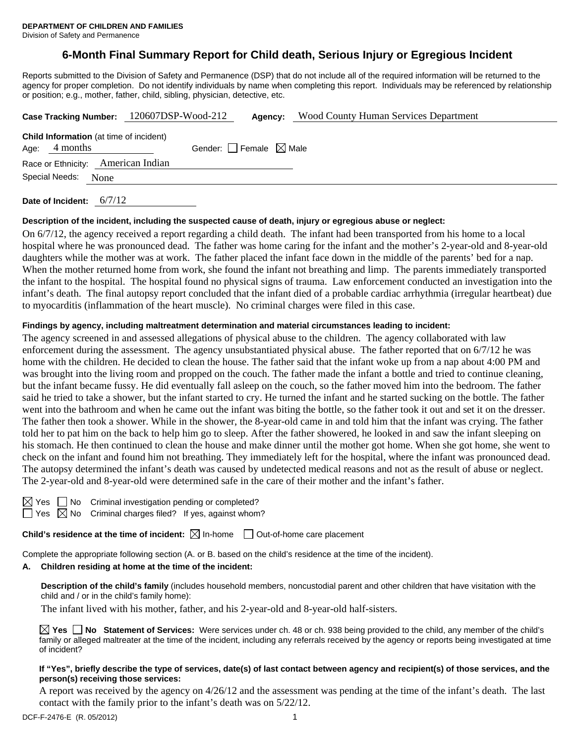## **6-Month Final Summary Report for Child death, Serious Injury or Egregious Incident**

Reports submitted to the Division of Safety and Permanence (DSP) that do not include all of the required information will be returned to the agency for proper completion. Do not identify individuals by name when completing this report. Individuals may be referenced by relationship or position; e.g., mother, father, child, sibling, physician, detective, etc.

|      |                                                            | Case Tracking Number: 120607DSP-Wood-212 | Agency:                         | <b>Wood County Human Services Department</b> |
|------|------------------------------------------------------------|------------------------------------------|---------------------------------|----------------------------------------------|
| Age: | <b>Child Information</b> (at time of incident)<br>4 months |                                          | Gender: Female $\boxtimes$ Male |                                              |
|      | Race or Ethnicity: American Indian                         |                                          |                                 |                                              |
|      | Special Needs:<br>None                                     |                                          |                                 |                                              |
|      |                                                            |                                          |                                 |                                              |

**Date of Incident:** 6/7/12

#### **Description of the incident, including the suspected cause of death, injury or egregious abuse or neglect:**

On 6/7/12, the agency received a report regarding a child death. The infant had been transported from his home to a local hospital where he was pronounced dead. The father was home caring for the infant and the mother's 2-year-old and 8-year-old daughters while the mother was at work. The father placed the infant face down in the middle of the parents' bed for a nap. When the mother returned home from work, she found the infant not breathing and limp. The parents immediately transported the infant to the hospital. The hospital found no physical signs of trauma. Law enforcement conducted an investigation into the infant's death. The final autopsy report concluded that the infant died of a probable cardiac arrhythmia (irregular heartbeat) due to myocarditis (inflammation of the heart muscle). No criminal charges were filed in this case.

### **Findings by agency, including maltreatment determination and material circumstances leading to incident:**

The agency screened in and assessed allegations of physical abuse to the children. The agency collaborated with law enforcement during the assessment. The agency unsubstantiated physical abuse. The father reported that on 6/7/12 he was home with the children. He decided to clean the house. The father said that the infant woke up from a nap about 4:00 PM and was brought into the living room and propped on the couch. The father made the infant a bottle and tried to continue cleaning, but the infant became fussy. He did eventually fall asleep on the couch, so the father moved him into the bedroom. The father said he tried to take a shower, but the infant started to cry. He turned the infant and he started sucking on the bottle. The father went into the bathroom and when he came out the infant was biting the bottle, so the father took it out and set it on the dresser. The father then took a shower. While in the shower, the 8-year-old came in and told him that the infant was crying. The father told her to pat him on the back to help him go to sleep. After the father showered, he looked in and saw the infant sleeping on his stomach. He then continued to clean the house and make dinner until the mother got home. When she got home, she went to check on the infant and found him not breathing. They immediately left for the hospital, where the infant was pronounced dead. The autopsy determined the infant's death was caused by undetected medical reasons and not as the result of abuse or neglect. The 2-year-old and 8-year-old were determined safe in the care of their mother and the infant's father.

| - |  |
|---|--|
|   |  |

No Criminal investigation pending or completed?

No Criminal charges filed? If yes, against whom?

**Child's residence at the time of incident:**  $\boxtimes$  In-home  $\Box$  Out-of-home care placement

Complete the appropriate following section (A. or B. based on the child's residence at the time of the incident).

#### **A. Children residing at home at the time of the incident:**

**Description of the child's family** (includes household members, noncustodial parent and other children that have visitation with the child and / or in the child's family home):

The infant lived with his mother, father, and his 2-year-old and 8-year-old half-sisters.

**Yes No Statement of Services:** Were services under ch. 48 or ch. 938 being provided to the child, any member of the child's family or alleged maltreater at the time of the incident, including any referrals received by the agency or reports being investigated at time of incident?

#### **If "Yes", briefly describe the type of services, date(s) of last contact between agency and recipient(s) of those services, and the person(s) receiving those services:**

A report was received by the agency on 4/26/12 and the assessment was pending at the time of the infant's death. The last contact with the family prior to the infant's death was on 5/22/12.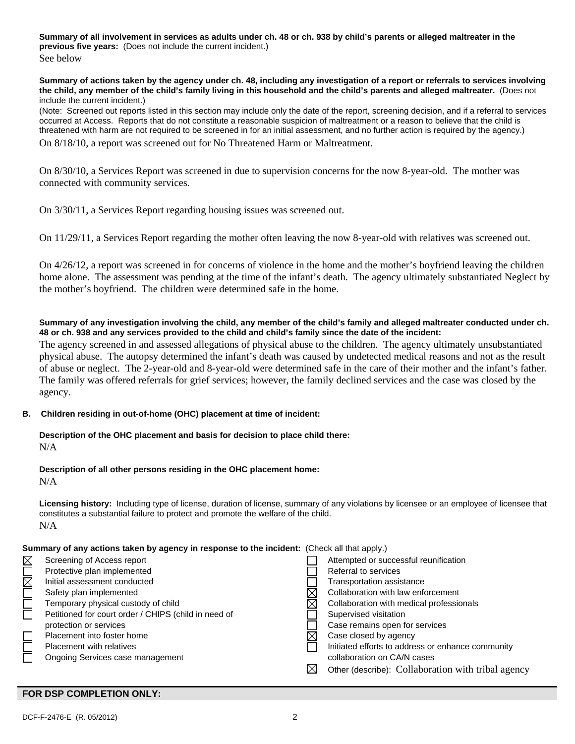**Summary of all involvement in services as adults under ch. 48 or ch. 938 by child's parents or alleged maltreater in the previous five years:** (Does not include the current incident.)

See below

**Summary of actions taken by the agency under ch. 48, including any investigation of a report or referrals to services involving the child, any member of the child's family living in this household and the child's parents and alleged maltreater.** (Does not include the current incident.)

(Note: Screened out reports listed in this section may include only the date of the report, screening decision, and if a referral to services occurred at Access. Reports that do not constitute a reasonable suspicion of maltreatment or a reason to believe that the child is threatened with harm are not required to be screened in for an initial assessment, and no further action is required by the agency.)

On 8/18/10, a report was screened out for No Threatened Harm or Maltreatment.

On 8/30/10, a Services Report was screened in due to supervision concerns for the now 8-year-old. The mother was connected with community services.

On 3/30/11, a Services Report regarding housing issues was screened out.

On 11/29/11, a Services Report regarding the mother often leaving the now 8-year-old with relatives was screened out.

On 4/26/12, a report was screened in for concerns of violence in the home and the mother's boyfriend leaving the children home alone. The assessment was pending at the time of the infant's death. The agency ultimately substantiated Neglect by the mother's boyfriend. The children were determined safe in the home.

### **Summary of any investigation involving the child, any member of the child's family and alleged maltreater conducted under ch. 48 or ch. 938 and any services provided to the child and child's family since the date of the incident:**

The agency screened in and assessed allegations of physical abuse to the children. The agency ultimately unsubstantiated physical abuse. The autopsy determined the infant's death was caused by undetected medical reasons and not as the result of abuse or neglect. The 2-year-old and 8-year-old were determined safe in the care of their mother and the infant's father. The family was offered referrals for grief services; however, the family declined services and the case was closed by the agency.

## **B. Children residing in out-of-home (OHC) placement at time of incident:**

## **Description of the OHC placement and basis for decision to place child there:**

N/A

# **Description of all other persons residing in the OHC placement home:**

N/A

**Licensing history:** Including type of license, duration of license, summary of any violations by licensee or an employee of licensee that constitutes a substantial failure to protect and promote the welfare of the child. N/A

## **Summary of any actions taken by agency in response to the incident:** (Check all that apply.)

| $\boxtimes$         | Screening of Access report                           |             | Attempted or successful reunification              |
|---------------------|------------------------------------------------------|-------------|----------------------------------------------------|
|                     | Protective plan implemented                          |             | Referral to services                               |
| $\boxtimes \square$ | Initial assessment conducted                         |             | Transportation assistance                          |
| $\Box$              | Safety plan implemented                              |             | Collaboration with law enforcement                 |
|                     | Temporary physical custody of child                  |             | Collaboration with medical professionals           |
| $\Box$              | Petitioned for court order / CHIPS (child in need of |             | Supervised visitation                              |
|                     | protection or services                               |             | Case remains open for services                     |
|                     | Placement into foster home                           |             | Case closed by agency                              |
|                     | Placement with relatives                             |             | Initiated efforts to address or enhance community  |
|                     | Ongoing Services case management                     |             | collaboration on CA/N cases                        |
|                     |                                                      | $\boxtimes$ | Other (describe): Collaboration with tribal agency |
|                     |                                                      |             |                                                    |

## **FOR DSP COMPLETION ONLY:**